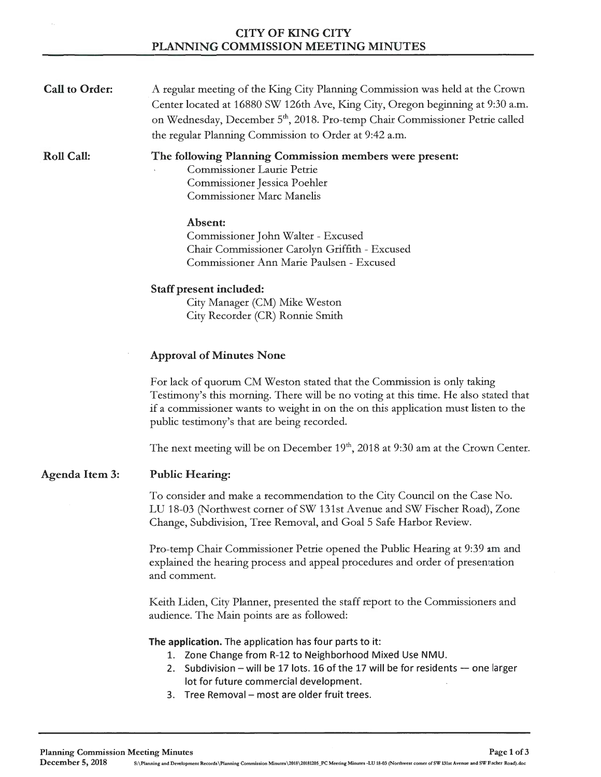| <b>CITY OF KING CITY</b>                   |
|--------------------------------------------|
| <b>PLANNING COMMISSION MEETING MINUTES</b> |

| <b>Call to Order:</b> | A regular meeting of the King City Planning Commission was held at the Crown<br>Center located at 16880 SW 126th Ave, King City, Oregon beginning at 9:30 a.m.<br>on Wednesday, December 5 <sup>th</sup> , 2018. Pro-temp Chair Commissioner Petrie called<br>the regular Planning Commission to Order at 9:42 a.m. |
|-----------------------|---------------------------------------------------------------------------------------------------------------------------------------------------------------------------------------------------------------------------------------------------------------------------------------------------------------------|
| <b>Roll Call:</b>     | The following Planning Commission members were present:<br><b>Commissioner Laurie Petrie</b><br>Commissioner Jessica Poehler<br><b>Commissioner Marc Manelis</b>                                                                                                                                                    |
|                       | Absent:<br>Commissioner John Walter - Excused<br>Chair Commissioner Carolyn Griffith - Excused<br>Commissioner Ann Marie Paulsen - Excused                                                                                                                                                                          |
|                       | Staff present included:<br>City Manager (CM) Mike Weston<br>City Recorder (CR) Ronnie Smith                                                                                                                                                                                                                         |
|                       | <b>Approval of Minutes None</b>                                                                                                                                                                                                                                                                                     |
|                       | For lack of quorum CM Weston stated that the Commission is only taking<br>Testimony's this morning. There will be no voting at this time. He also stated that<br>if a commissioner wants to weight in on the on this application must listen to the<br>public testimony's that are being recorded.                  |
|                       | The next meeting will be on December $19th$ , 2018 at 9:30 am at the Crown Center.                                                                                                                                                                                                                                  |
| Agenda Item 3:        | <b>Public Hearing:</b>                                                                                                                                                                                                                                                                                              |
|                       | To consider and make a recommendation to the City Council on the Case No.<br>LU 18-03 (Northwest corner of SW 131st Avenue and SW Fischer Road), Zone<br>Change, Subdivision, Tree Removal, and Goal 5 Safe Harbor Review.                                                                                          |
|                       | Pro-temp Chair Commissioner Petrie opened the Public Hearing at 9:39 am and<br>explained the hearing process and appeal procedures and order of presentation<br>and comment.                                                                                                                                        |
|                       | Keith Liden, City Planner, presented the staff report to the Commissioners and<br>audience. The Main points are as followed:                                                                                                                                                                                        |
|                       | The application. The application has four parts to it:<br>1. Zone Change from R-12 to Neighborhood Mixed Use NMU.<br>2. Subdivision – will be 17 lots. 16 of the 17 will be for residents – one larger<br>lot for future commercial development.<br>3. Tree Removal - most are older fruit trees.                   |

 $\hat{\boldsymbol{\beta}}$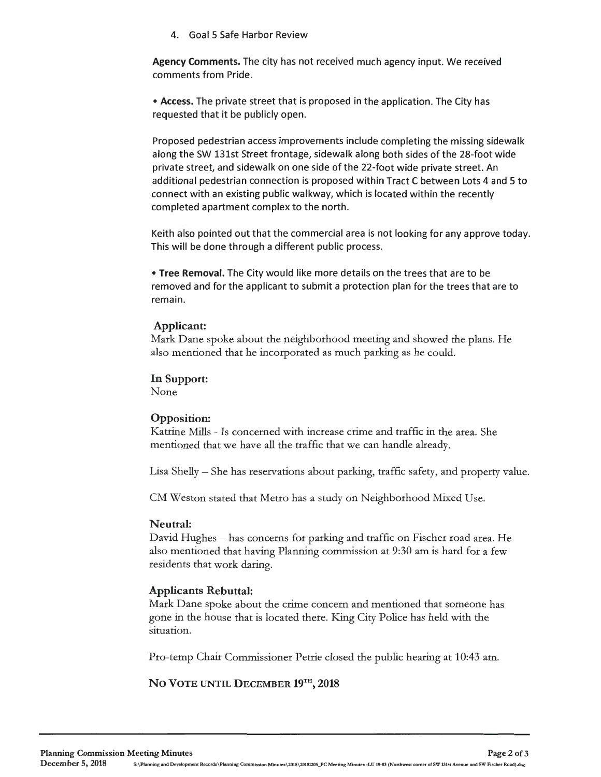#### 4. Goal 5 Safe Harbor Review

**Agency Comments.** The city has not received much agency input. We received comments from Pride.

• **Access.** The private street that is proposed in the application. The City has requested that it be publicly open.

Proposed pedestrian access improvements include completing the missing sidewalk along the SW 131st Street frontage, sidewalk along both sides of the 28-foot wide private street, and sidewalk on one side of the 22-foot wide private street. An additional pedestrian connection is proposed within Tract C between Lots 4 and 5 to connect with an existing public walkway, which is located within the recently completed apartment complex to the north.

Keith also pointed out that the commercial area is not looking for any approve today. This will be done through a different public process.

• **Tree Removal.** The City would like more details on the trees that are to be removed and for the applicant to submit a protection plan for the trees that are to remain.

#### **Applicant:**

Mark Dane spoke about the neighborhood meeting and showed the plans. He also mentioned that he incorporated as much parking as he could.

**In Support:** 

None

### **Opposition:**

Katrine Mills - Is concerned with increase crime and traffic in the area. She mentioned that we have all the traffic that we can handle already.

Lisa Shelly - She has reservations about parking, traffic safety, and property value.

CM Weston stated that Metro has a study on Neighborhood Mixed Use.

### **Neutral:**

David Hughes – has concerns for parking and traffic on Fischer road area. He also mentioned that having Planning commission at 9:30 am is hard for a few residents that work daring.

### **Applicants Rebuttal:**

Mark Dane spoke about the crime concern and mentioned that someone has gone in the house that is located there. King City Police has held with the situation.

Pro-temp Chair Commissioner Petrie closed the public hearing at 10:43 am.

NO VOTE UNTIL DECEMBER 19<sup>TH</sup>, 2018

December 5, 2018 S:\Planning and Development Records\Planning Commission Minutes\2018\20181205\_PC Meeting Minutes -LU 18-03 (Northwest corner of SW 131st Avenue and SW Fischer Road).doc